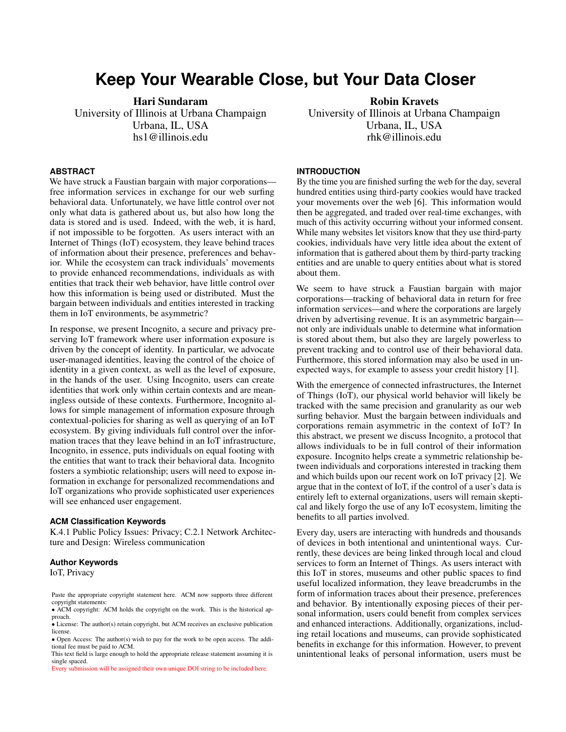# **Keep Your Wearable Close, but Your Data Closer**

Hari Sundaram University of Illinois at Urbana Champaign Urbana, IL, USA hs1@illinois.edu

# **ABSTRACT**

We have struck a Faustian bargain with major corporations free information services in exchange for our web surfing behavioral data. Unfortunately, we have little control over not only what data is gathered about us, but also how long the data is stored and is used. Indeed, with the web, it is hard, if not impossible to be forgotten. As users interact with an Internet of Things (IoT) ecosystem, they leave behind traces of information about their presence, preferences and behavior. While the ecosystem can track individuals' movements to provide enhanced recommendations, individuals as with entities that track their web behavior, have little control over how this information is being used or distributed. Must the bargain between individuals and entities interested in tracking them in IoT environments, be asymmetric?

In response, we present Incognito, a secure and privacy preserving IoT framework where user information exposure is driven by the concept of identity. In particular, we advocate user-managed identities, leaving the control of the choice of identity in a given context, as well as the level of exposure, in the hands of the user. Using Incognito, users can create identities that work only within certain contexts and are meaningless outside of these contexts. Furthermore, Incognito allows for simple management of information exposure through contextual-policies for sharing as well as querying of an IoT ecosystem. By giving individuals full control over the information traces that they leave behind in an IoT infrastructure, Incognito, in essence, puts individuals on equal footing with the entities that want to track their behavioral data. Incognito fosters a symbiotic relationship; users will need to expose information in exchange for personalized recommendations and IoT organizations who provide sophisticated user experiences will see enhanced user engagement.

#### **ACM Classification Keywords**

K.4.1 Public Policy Issues: Privacy; C.2.1 Network Architecture and Design: Wireless communication

### **Author Keywords**

IoT, Privacy

Paste the appropriate copyright statement here. ACM now supports three different copyright statements:

• ACM copyright: ACM holds the copyright on the work. This is the historical approach.

• License: The author(s) retain copyright, but ACM receives an exclusive publication license.

• Open Access: The author(s) wish to pay for the work to be open access. The additional fee must be paid to ACM.

This text field is large enough to hold the appropriate release statement assuming it is single spaced.

Every submission will be assigned their own unique DOI string to be included here.

Robin Kravets

University of Illinois at Urbana Champaign Urbana, IL, USA rhk@illinois.edu

# **INTRODUCTION**

By the time you are finished surfing the web for the day, several hundred entities using third-party cookies would have tracked your movements over the web [\[6\]](#page-2-0). This information would then be aggregated, and traded over real-time exchanges, with much of this activity occurring without your informed consent. While many websites let visitors know that they use third-party cookies, individuals have very little idea about the extent of information that is gathered about them by third-party tracking entities and are unable to query entities about what is stored about them.

We seem to have struck a Faustian bargain with major corporations—tracking of behavioral data in return for free information services—and where the corporations are largely driven by advertising revenue. It is an asymmetric bargain not only are individuals unable to determine what information is stored about them, but also they are largely powerless to prevent tracking and to control use of their behavioral data. Furthermore, this stored information may also be used in unexpected ways, for example to assess your credit history [\[1\]](#page-1-0).

With the emergence of connected infrastructures, the Internet of Things (IoT), our physical world behavior will likely be tracked with the same precision and granularity as our web surfing behavior. Must the bargain between individuals and corporations remain asymmetric in the context of IoT? In this abstract, we present we discuss Incognito, a protocol that allows individuals to be in full control of their information exposure. Incognito helps create a symmetric relationship between individuals and corporations interested in tracking them and which builds upon our recent work on IoT privacy [\[2\]](#page-1-1). We argue that in the context of IoT, if the control of a user's data is entirely left to external organizations, users will remain skeptical and likely forgo the use of any IoT ecosystem, limiting the benefits to all parties involved.

Every day, users are interacting with hundreds and thousands of devices in both intentional and unintentional ways. Currently, these devices are being linked through local and cloud services to form an Internet of Things. As users interact with this IoT in stores, museums and other public spaces to find useful localized information, they leave breadcrumbs in the form of information traces about their presence, preferences and behavior. By intentionally exposing pieces of their personal information, users could benefit from complex services and enhanced interactions. Additionally, organizations, including retail locations and museums, can provide sophisticated benefits in exchange for this information. However, to prevent unintentional leaks of personal information, users must be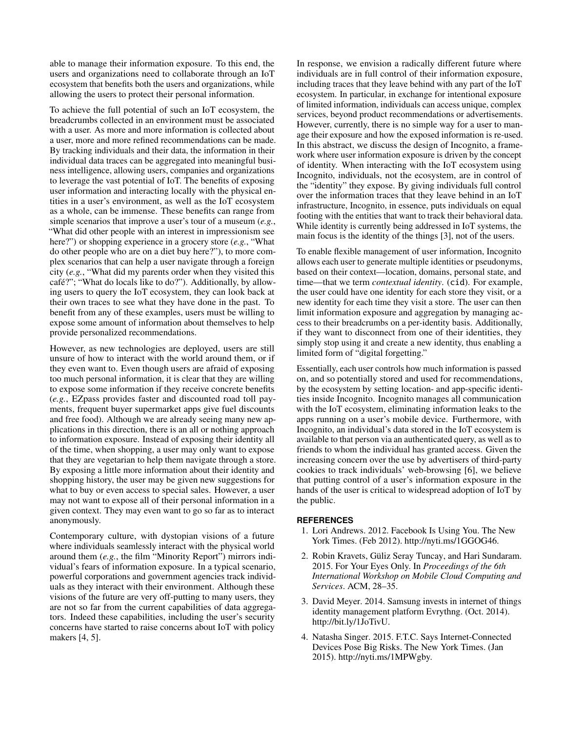able to manage their information exposure. To this end, the users and organizations need to collaborate through an IoT ecosystem that benefits both the users and organizations, while allowing the users to protect their personal information.

To achieve the full potential of such an IoT ecosystem, the breadcrumbs collected in an environment must be associated with a user. As more and more information is collected about a user, more and more refined recommendations can be made. By tracking individuals and their data, the information in their individual data traces can be aggregated into meaningful business intelligence, allowing users, companies and organizations to leverage the vast potential of IoT. The benefits of exposing user information and interacting locally with the physical entities in a user's environment, as well as the IoT ecosystem as a whole, can be immense. These benefits can range from simple scenarios that improve a user's tour of a museum (*e.g.*, "What did other people with an interest in impressionism see here?") or shopping experience in a grocery store (*e.g.*, "What do other people who are on a diet buy here?"), to more complex scenarios that can help a user navigate through a foreign city (*e.g.*, "What did my parents order when they visited this café?"; "What do locals like to do?"). Additionally, by allowing users to query the IoT ecosystem, they can look back at their own traces to see what they have done in the past. To benefit from any of these examples, users must be willing to expose some amount of information about themselves to help provide personalized recommendations.

However, as new technologies are deployed, users are still unsure of how to interact with the world around them, or if they even want to. Even though users are afraid of exposing too much personal information, it is clear that they are willing to expose some information if they receive concrete benefits (*e.g.*, EZpass provides faster and discounted road toll payments, frequent buyer supermarket apps give fuel discounts and free food). Although we are already seeing many new applications in this direction, there is an all or nothing approach to information exposure. Instead of exposing their identity all of the time, when shopping, a user may only want to expose that they are vegetarian to help them navigate through a store. By exposing a little more information about their identity and shopping history, the user may be given new suggestions for what to buy or even access to special sales. However, a user may not want to expose all of their personal information in a given context. They may even want to go so far as to interact anonymously.

Contemporary culture, with dystopian visions of a future where individuals seamlessly interact with the physical world around them (*e.g.*, the film "Minority Report") mirrors individual's fears of information exposure. In a typical scenario, powerful corporations and government agencies track individuals as they interact with their environment. Although these visions of the future are very off-putting to many users, they are not so far from the current capabilities of data aggregators. Indeed these capabilities, including the user's security concerns have started to raise concerns about IoT with policy makers [\[4,](#page-1-2) [5\]](#page-2-1).

In response, we envision a radically different future where individuals are in full control of their information exposure, including traces that they leave behind with any part of the IoT ecosystem. In particular, in exchange for intentional exposure of limited information, individuals can access unique, complex services, beyond product recommendations or advertisements. However, currently, there is no simple way for a user to manage their exposure and how the exposed information is re-used. In this abstract, we discuss the design of Incognito, a framework where user information exposure is driven by the concept of identity. When interacting with the IoT ecosystem using Incognito, individuals, not the ecosystem, are in control of the "identity" they expose. By giving individuals full control over the information traces that they leave behind in an IoT infrastructure, Incognito, in essence, puts individuals on equal footing with the entities that want to track their behavioral data. While identity is currently being addressed in IoT systems, the main focus is the identity of the things [\[3\]](#page-1-3), not of the users.

To enable flexible management of user information, Incognito allows each user to generate multiple identities or pseudonyms, based on their context—location, domains, personal state, and time—that we term *contextual identity*. (cid). For example, the user could have one identity for each store they visit, or a new identity for each time they visit a store. The user can then limit information exposure and aggregation by managing access to their breadcrumbs on a per-identity basis. Additionally, if they want to disconnect from one of their identities, they simply stop using it and create a new identity, thus enabling a limited form of "digital forgetting."

Essentially, each user controls how much information is passed on, and so potentially stored and used for recommendations, by the ecosystem by setting location- and app-specific identities inside Incognito. Incognito manages all communication with the IoT ecosystem, eliminating information leaks to the apps running on a user's mobile device. Furthermore, with Incognito, an individual's data stored in the IoT ecosystem is available to that person via an authenticated query, as well as to friends to whom the individual has granted access. Given the increasing concern over the use by advertisers of third-party cookies to track individuals' web-browsing [\[6\]](#page-2-0), we believe that putting control of a user's information exposure in the hands of the user is critical to widespread adoption of IoT by the public.

## <span id="page-1-0"></span>**REFERENCES**

- 1. Lori Andrews. 2012. Facebook Is Using You. The New York Times. (Feb 2012). http://nyti.ms/1GGOG46.
- <span id="page-1-1"></span>2. Robin Kravets, Güliz Seray Tuncay, and Hari Sundaram. 2015. For Your Eyes Only. In *Proceedings of the 6th International Workshop on Mobile Cloud Computing and Services*. ACM, 28–35.
- <span id="page-1-3"></span>3. David Meyer. 2014. Samsung invests in internet of things identity management platform Evrythng. (Oct. 2014). http://bit.ly/1JoTivU.
- <span id="page-1-2"></span>4. Natasha Singer. 2015. F.T.C. Says Internet-Connected Devices Pose Big Risks. The New York Times. (Jan 2015). http://nyti.ms/1MPWgby.